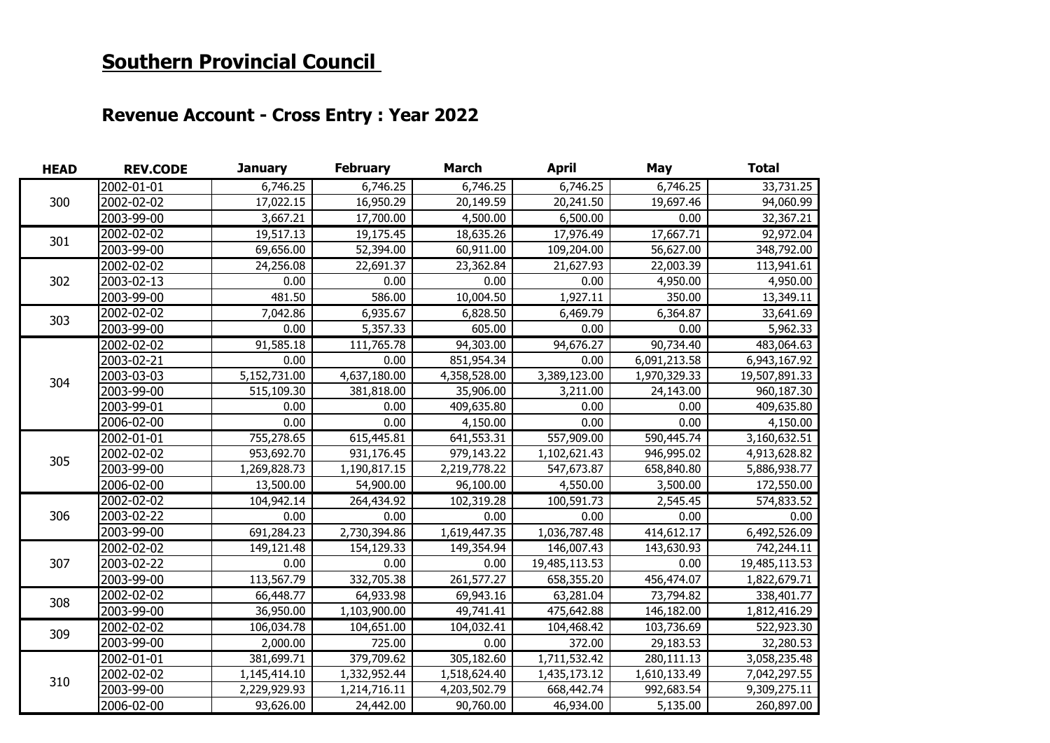## **Southern Provincial Council**

## **Revenue Account - Cross Entry : Year 2022**

| <b>HEAD</b> | <b>REV.CODE</b> | <b>January</b> | <b>February</b> | <b>March</b> | <b>April</b>  | May          | <b>Total</b>  |
|-------------|-----------------|----------------|-----------------|--------------|---------------|--------------|---------------|
| 300         | 2002-01-01      | 6,746.25       | 6,746.25        | 6,746.25     | 6,746.25      | 6,746.25     | 33,731.25     |
|             | 2002-02-02      | 17,022.15      | 16,950.29       | 20,149.59    | 20,241.50     | 19,697.46    | 94,060.99     |
|             | 2003-99-00      | 3,667.21       | 17,700.00       | 4,500.00     | 6,500.00      | 0.00         | 32,367.21     |
| 301         | 2002-02-02      | 19,517.13      | 19,175.45       | 18,635.26    | 17,976.49     | 17,667.71    | 92,972.04     |
|             | 2003-99-00      | 69,656.00      | 52,394.00       | 60,911.00    | 109,204.00    | 56,627.00    | 348,792.00    |
| 302         | 2002-02-02      | 24,256.08      | 22,691.37       | 23,362.84    | 21,627.93     | 22,003.39    | 113,941.61    |
|             | 2003-02-13      | 0.00           | 0.00            | 0.00         | 0.00          | 4,950.00     | 4,950.00      |
|             | 2003-99-00      | 481.50         | 586.00          | 10,004.50    | 1,927.11      | 350.00       | 13,349.11     |
| 303         | 2002-02-02      | 7,042.86       | 6,935.67        | 6,828.50     | 6,469.79      | 6,364.87     | 33,641.69     |
|             | 2003-99-00      | 0.00           | 5,357.33        | 605.00       | 0.00          | 0.00         | 5,962.33      |
|             | 2002-02-02      | 91,585.18      | 111,765.78      | 94,303.00    | 94,676.27     | 90,734.40    | 483,064.63    |
|             | 2003-02-21      | 0.00           | 0.00            | 851,954.34   | 0.00          | 6,091,213.58 | 6,943,167.92  |
| 304         | 2003-03-03      | 5,152,731.00   | 4,637,180.00    | 4,358,528.00 | 3,389,123.00  | 1,970,329.33 | 19,507,891.33 |
|             | 2003-99-00      | 515,109.30     | 381,818.00      | 35,906.00    | 3,211.00      | 24,143.00    | 960,187.30    |
|             | 2003-99-01      | 0.00           | 0.00            | 409,635.80   | 0.00          | 0.00         | 409,635.80    |
|             | 2006-02-00      | 0.00           | 0.00            | 4,150.00     | 0.00          | 0.00         | 4,150.00      |
|             | 2002-01-01      | 755,278.65     | 615,445.81      | 641,553.31   | 557,909.00    | 590,445.74   | 3,160,632.51  |
| 305         | 2002-02-02      | 953,692.70     | 931,176.45      | 979,143.22   | 1,102,621.43  | 946,995.02   | 4,913,628.82  |
|             | 2003-99-00      | 1,269,828.73   | 1,190,817.15    | 2,219,778.22 | 547,673.87    | 658,840.80   | 5,886,938.77  |
|             | 2006-02-00      | 13,500.00      | 54,900.00       | 96,100.00    | 4,550.00      | 3,500.00     | 172,550.00    |
|             | 2002-02-02      | 104,942.14     | 264,434.92      | 102,319.28   | 100,591.73    | 2,545.45     | 574,833.52    |
| 306         | 2003-02-22      | 0.00           | 0.00            | 0.00         | 0.00          | 0.00         | 0.00          |
|             | 2003-99-00      | 691,284.23     | 2,730,394.86    | 1,619,447.35 | 1,036,787.48  | 414,612.17   | 6,492,526.09  |
|             | 2002-02-02      | 149,121.48     | 154,129.33      | 149,354.94   | 146,007.43    | 143,630.93   | 742,244.11    |
| 307         | 2003-02-22      | 0.00           | 0.00            | 0.00         | 19,485,113.53 | 0.00         | 19,485,113.53 |
|             | 2003-99-00      | 113,567.79     | 332,705.38      | 261,577.27   | 658,355.20    | 456,474.07   | 1,822,679.71  |
| 308         | 2002-02-02      | 66,448.77      | 64,933.98       | 69,943.16    | 63,281.04     | 73,794.82    | 338,401.77    |
|             | 2003-99-00      | 36,950.00      | 1,103,900.00    | 49,741.41    | 475,642.88    | 146,182.00   | 1,812,416.29  |
|             | 2002-02-02      | 106,034.78     | 104,651.00      | 104,032.41   | 104,468.42    | 103,736.69   | 522,923.30    |
| 309         | 2003-99-00      | 2,000.00       | 725.00          | 0.00         | 372.00        | 29,183.53    | 32,280.53     |
| 310         | 2002-01-01      | 381,699.71     | 379,709.62      | 305,182.60   | 1,711,532.42  | 280,111.13   | 3,058,235.48  |
|             | 2002-02-02      | 1,145,414.10   | 1,332,952.44    | 1,518,624.40 | 1,435,173.12  | 1,610,133.49 | 7,042,297.55  |
|             | 2003-99-00      | 2,229,929.93   | 1,214,716.11    | 4,203,502.79 | 668,442.74    | 992,683.54   | 9,309,275.11  |
|             | 2006-02-00      | 93,626.00      | 24,442.00       | 90,760.00    | 46,934.00     | 5,135.00     | 260,897.00    |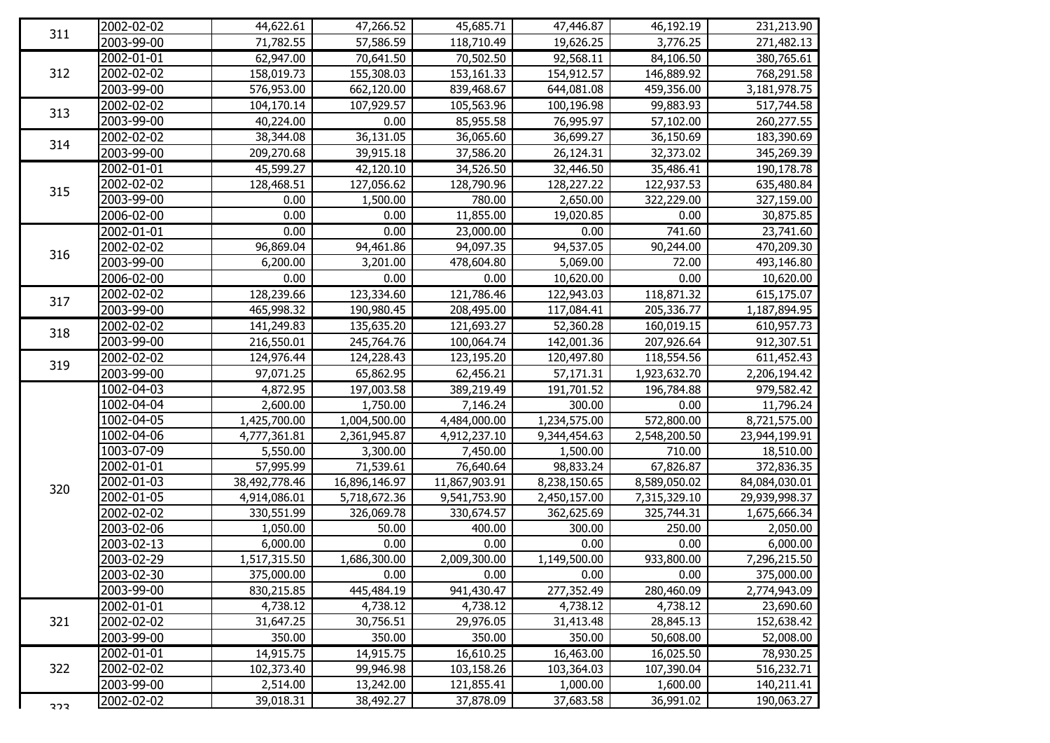| 311 | 2002-02-02       | 44,622.61     | 47,266.52              | 45,685.71     | 47,446.87    | 46,192.19    | 231,213.90    |
|-----|------------------|---------------|------------------------|---------------|--------------|--------------|---------------|
|     | 2003-99-00       | 71,782.55     | 57,586.59              | 118,710.49    | 19,626.25    | 3,776.25     | 271,482.13    |
| 312 | 2002-01-01       | 62,947.00     | 70,641.50              | 70,502.50     | 92,568.11    | 84,106.50    | 380,765.61    |
|     | 2002-02-02       | 158,019.73    | 155,308.03             | 153,161.33    | 154,912.57   | 146,889.92   | 768,291.58    |
|     | 2003-99-00       | 576,953.00    | 662,120.00             | 839,468.67    | 644,081.08   | 459,356.00   | 3,181,978.75  |
|     | 2002-02-02       | 104,170.14    | 107,929.57             | 105,563.96    | 100,196.98   | 99,883.93    | 517,744.58    |
| 313 | 2003-99-00       | 40,224.00     | 0.00                   | 85,955.58     | 76,995.97    | 57,102.00    | 260,277.55    |
|     | $2002 - 02 - 02$ | 38,344.08     | 36,131.05              | 36,065.60     | 36,699.27    | 36,150.69    | 183,390.69    |
| 314 | 2003-99-00       | 209,270.68    | 39,915.18              | 37,586.20     | 26,124.31    | 32,373.02    | 345,269.39    |
|     | 2002-01-01       | 45,599.27     | $\overline{42,120.10}$ | 34,526.50     | 32,446.50    | 35,486.41    | 190,178.78    |
|     | 2002-02-02       | 128,468.51    | 127,056.62             | 128,790.96    | 128,227.22   | 122,937.53   | 635,480.84    |
| 315 | 2003-99-00       | 0.00          | 1,500.00               | 780.00        | 2,650.00     | 322,229.00   | 327,159.00    |
|     | 2006-02-00       | 0.00          | 0.00                   | 11,855.00     | 19,020.85    | 0.00         | 30,875.85     |
|     | 2002-01-01       | 0.00          | 0.00                   | 23,000.00     | 0.00         | 741.60       | 23,741.60     |
| 316 | 2002-02-02       | 96,869.04     | 94,461.86              | 94,097.35     | 94,537.05    | 90,244.00    | 470,209.30    |
|     | 2003-99-00       | 6,200.00      | 3,201.00               | 478,604.80    | 5,069.00     | 72.00        | 493,146.80    |
|     | 2006-02-00       | 0.00          | 0.00                   | 0.00          | 10,620.00    | 0.00         | 10,620.00     |
| 317 | 2002-02-02       | 128,239.66    | 123,334.60             | 121,786.46    | 122,943.03   | 118,871.32   | 615,175.07    |
|     | 2003-99-00       | 465,998.32    | 190,980.45             | 208,495.00    | 117,084.41   | 205,336.77   | 1,187,894.95  |
|     | 2002-02-02       | 141,249.83    | 135,635.20             | 121,693.27    | 52,360.28    | 160,019.15   | 610,957.73    |
| 318 | 2003-99-00       | 216,550.01    | 245,764.76             | 100,064.74    | 142,001.36   | 207,926.64   | 912,307.51    |
| 319 | 2002-02-02       | 124,976.44    | 124,228.43             | 123,195.20    | 120,497.80   | 118,554.56   | 611,452.43    |
|     | 2003-99-00       | 97,071.25     | 65,862.95              | 62,456.21     | 57,171.31    | 1,923,632.70 | 2,206,194.42  |
|     | 1002-04-03       | 4,872.95      | 197,003.58             | 389,219.49    | 191,701.52   | 196,784.88   | 979,582.42    |
|     | 1002-04-04       | 2,600.00      | 1,750.00               | 7,146.24      | 300.00       | 0.00         | 11,796.24     |
|     | 1002-04-05       | 1,425,700.00  | 1,004,500.00           | 4,484,000.00  | 1,234,575.00 | 572,800.00   | 8,721,575.00  |
|     | 1002-04-06       | 4,777,361.81  | 2,361,945.87           | 4,912,237.10  | 9,344,454.63 | 2,548,200.50 | 23,944,199.91 |
|     | 1003-07-09       | 5,550.00      | 3,300.00               | 7,450.00      | 1,500.00     | 710.00       | 18,510.00     |
|     | 2002-01-01       | 57,995.99     | 71,539.61              | 76,640.64     | 98,833.24    | 67,826.87    | 372,836.35    |
| 320 | 2002-01-03       | 38,492,778.46 | 16,896,146.97          | 11,867,903.91 | 8,238,150.65 | 8,589,050.02 | 84,084,030.01 |
|     | 2002-01-05       | 4,914,086.01  | 5,718,672.36           | 9,541,753.90  | 2,450,157.00 | 7,315,329.10 | 29,939,998.37 |
|     | 2002-02-02       | 330,551.99    | 326,069.78             | 330,674.57    | 362,625.69   | 325,744.31   | 1,675,666.34  |
|     | 2003-02-06       | 1,050.00      | 50.00                  | 400.00        | 300.00       | 250.00       | 2,050.00      |
|     | 2003-02-13       | 6,000.00      | 0.00                   | 0.00          | 0.00         | 0.00         | 6,000.00      |
|     | 2003-02-29       | 1,517,315.50  | 1,686,300.00           | 2,009,300.00  | 1,149,500.00 | 933,800.00   | 7,296,215.50  |
|     | 2003-02-30       | 375,000.00    | 0.00                   | 0.00          | 0.00         | 0.00         | 375,000.00    |
|     | 2003-99-00       | 830,215.85    | 445,484.19             | 941,430.47    | 277,352.49   | 280,460.09   | 2,774,943.09  |
|     | 2002-01-01       | 4,738.12      | 4,738.12               | 4,738.12      | 4,738.12     | 4,738.12     | 23,690.60     |
| 321 | 2002-02-02       | 31,647.25     | 30,756.51              | 29,976.05     | 31,413.48    | 28,845.13    | 152,638.42    |
|     | 2003-99-00       | 350.00        | 350.00                 | 350.00        | 350.00       | 50,608.00    | 52,008.00     |
| 322 | 2002-01-01       | 14,915.75     | 14,915.75              | 16,610.25     | 16,463.00    | 16,025.50    | 78,930.25     |
|     | 2002-02-02       | 102,373.40    | 99,946.98              | 103,158.26    | 103,364.03   | 107,390.04   | 516,232.71    |
|     | 2003-99-00       | 2,514.00      | 13,242.00              | 121,855.41    | 1,000.00     | 1,600.00     | 140,211.41    |
| さつさ | 2002-02-02       | 39,018.31     | 38,492.27              | 37,878.09     | 37,683.58    | 36,991.02    | 190,063.27    |